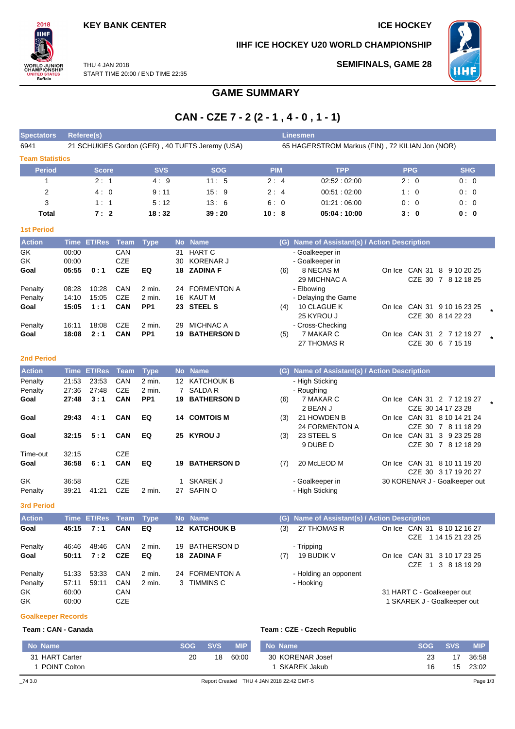**SEMIFINALS, GAME 28**

**IIHF ICE HOCKEY U20 WORLD CHAMPIONSHIP**



THU 4 JAN 2018 **ORLD JUNIOR**<br>HAMPIONSHIP START TIME 20:00 / END TIME 22:35 **ITED STATES** 

## **GAME SUMMARY**

# **CAN - CZE 7 - 2 (2 - 1 , 4 - 0 , 1 - 1)**

| <b>Spectators</b> | Referee(s)                                      |            |            | <b>Linesmen</b>                                 |             |            |            |  |  |  |  |  |  |  |  |
|-------------------|-------------------------------------------------|------------|------------|-------------------------------------------------|-------------|------------|------------|--|--|--|--|--|--|--|--|
| 6941              | 21 SCHUKIES Gordon (GER), 40 TUFTS Jeremy (USA) |            |            | 65 HAGERSTROM Markus (FIN), 72 KILIAN Jon (NOR) |             |            |            |  |  |  |  |  |  |  |  |
|                   | <b>Team Statistics</b>                          |            |            |                                                 |             |            |            |  |  |  |  |  |  |  |  |
| <b>Period</b>     | <b>Score</b>                                    | <b>SVS</b> | <b>SOG</b> | <b>PIM</b>                                      | <b>TPP</b>  | <b>PPG</b> | <b>SHG</b> |  |  |  |  |  |  |  |  |
|                   | 2:1                                             | 4:9        | 11:5       | 2:4                                             | 02:52:02:00 | 2:0        | 0:0        |  |  |  |  |  |  |  |  |
| $\overline{2}$    | 4:0                                             | 9:11       | 15:9       | 2:4                                             | 00:51:02:00 | 1:0        | 0:0        |  |  |  |  |  |  |  |  |
| 3                 | 1:1                                             | 5:12       | 13:6       | 6:0                                             | 01:21:06:00 | 0:0        | 0:0        |  |  |  |  |  |  |  |  |
| Total             | 7:2                                             | 18:32      | 39:20      | 10:8                                            | 05:04:10:00 | 3:0        | 0:0        |  |  |  |  |  |  |  |  |
| <b>1st Period</b> |                                                 |            |            |                                                 |             |            |            |  |  |  |  |  |  |  |  |

| <b>Action</b> |       | Time ET/Res Team Type |            |                 |    | No Name            | (G) Name of Assistant(s) / Action Description |                     |  |               |                             |  |
|---------------|-------|-----------------------|------------|-----------------|----|--------------------|-----------------------------------------------|---------------------|--|---------------|-----------------------------|--|
| GK.           | 00:00 |                       | <b>CAN</b> |                 | 31 | HART C             |                                               | - Goalkeeper in     |  |               |                             |  |
| GK            | 00:00 |                       | <b>CZE</b> |                 |    | 30 KORENAR J       |                                               | - Goalkeeper in     |  |               |                             |  |
| Goal          | 05:55 | 0:1                   | <b>CZE</b> | EQ              |    | 18 ZADINA F        | (6)                                           | 8 NECAS M           |  | On Ice CAN 31 | 8<br>9 10 20 25             |  |
|               |       |                       |            |                 |    |                    |                                               | 29 MICHNAC A        |  |               | CZE 30 7 8 12 18 25         |  |
| Penalty       | 08:28 | 10:28                 | CAN        | 2 min.          |    | 24 FORMENTON A     |                                               | - Elbowing          |  |               |                             |  |
| Penalty       | 14:10 | 15:05                 | CZE        | 2 min.          |    | 16 KAUT M          |                                               | - Delaying the Game |  |               |                             |  |
| Goal          | 15:05 | 1:1                   | <b>CAN</b> | PP <sub>1</sub> |    | 23 STEEL S         | (4)                                           | 10 CLAGUE K         |  |               | On Ice CAN 31 9 10 16 23 25 |  |
|               |       |                       |            |                 |    |                    |                                               | 25 KYROU J          |  |               | CZE 30 8 14 22 23           |  |
| Penalty       | 16:11 | 18:08                 | <b>CZE</b> | 2 min.          | 29 | <b>MICHNAC A</b>   |                                               | - Cross-Checking    |  |               |                             |  |
| Goal          | 18:08 | 2:1                   | <b>CAN</b> | PP <sub>1</sub> | 19 | <b>BATHERSON D</b> | (5)                                           | 7 MAKAR C           |  | On Ice CAN 31 | 2 7 12 19 27                |  |
|               |       |                       |            |                 |    |                    |                                               | 27 THOMAS R         |  |               | CZE 30 6 7 15 19            |  |

#### **2nd Period**

 $2018$ IIНI

| <b>Action</b> |       | Time ET/Res Team |            | <b>Type</b>     |                 | No Name            | (G) | Name of Assistant(s) / Action Description |         |        |                               |  |
|---------------|-------|------------------|------------|-----------------|-----------------|--------------------|-----|-------------------------------------------|---------|--------|-------------------------------|--|
| Penalty       | 21:53 | 23.53            | <b>CAN</b> | 2 min.          | 12 <sup>7</sup> | KATCHOUK B         |     | - High Sticking                           |         |        |                               |  |
| Penalty       | 27:36 | 27:48            | CZE        | 2 min.          |                 | 7 SALDA R          |     | - Roughing                                |         |        |                               |  |
| Goal          | 27:48 | 3:1              | <b>CAN</b> | PP <sub>1</sub> | 19.             | <b>BATHERSON D</b> | (6) | 7 MAKAR C                                 |         |        | On Ice CAN 31 2 7 12 19 27    |  |
|               |       |                  |            |                 |                 |                    |     | 2 BEAN J                                  |         |        | CZE 30 14 17 23 28            |  |
| Goal          | 29:43 | 4:1              | <b>CAN</b> | EQ              | 14              | <b>COMTOIS M</b>   | (3) | 21 HOWDEN B                               | On Ice. |        | CAN 31 8 10 14 21 24          |  |
|               |       |                  |            |                 |                 |                    |     | <b>24 FORMENTON A</b>                     |         |        | CZE 30 7 8 11 18 29           |  |
| Goal          | 32:15 | 5:1              | <b>CAN</b> | EQ              | 25              | <b>KYROU J</b>     | (3) | 23 STEEL S                                | On Ice  |        | CAN 31 3 9 23 25 28           |  |
|               |       |                  |            |                 |                 |                    |     | 9 DUBE D                                  |         |        | CZE 30 7 8 12 18 29           |  |
| Time-out      | 32:15 |                  | CZE        |                 |                 |                    |     |                                           |         |        |                               |  |
| Goal          | 36:58 | 6:1              | <b>CAN</b> | EQ              | 19              | <b>BATHERSON D</b> | (7) | 20 McLEOD M                               | On Ice  | CAN 31 | 8 10 11 19 20                 |  |
|               |       |                  |            |                 |                 |                    |     |                                           |         |        | CZE 30 3 17 19 20 27          |  |
| GK            | 36:58 |                  | <b>CZE</b> |                 |                 | <b>SKAREK J</b>    |     | - Goalkeeper in                           |         |        | 30 KORENAR J - Goalkeeper out |  |
| Penalty       | 39:21 | 41:21            | <b>CZE</b> | 2 min.          | 27              | SAFIN O            |     | - High Sticking                           |         |        |                               |  |

**3rd Period**

| <b>Action</b> |       | Time ET/Res Team Type |            |        | No Name              |     | (G) Name of Assistant(s) / Action Description |                                        |
|---------------|-------|-----------------------|------------|--------|----------------------|-----|-----------------------------------------------|----------------------------------------|
| Goal          | 45:15 | 7:1                   | <b>CAN</b> | EQ     | <b>12 KATCHOUK B</b> | (3) | 27 THOMAS R                                   | On Ice CAN 31 8 10 12 16 27            |
|               |       |                       |            |        |                      |     |                                               | CZE 1 14 15 21 23 25                   |
| Penalty       | 46:46 | 48:46                 | CAN        | 2 min. | 19 BATHERSON D       |     | - Tripping                                    |                                        |
| Goal          | 50:11 | 7:2                   | <b>CZE</b> | EQ     | 18 ZADINA F          | (7) | 19 BUDIK V                                    | On Ice CAN 31 3 10 17 23 25            |
|               |       |                       |            |        |                      |     |                                               | 3 8 18 19 29<br>CZE.<br>$\overline{1}$ |
| Penalty       | 51:33 | 53:33                 | CAN        | 2 min. | 24 FORMENTON A       |     | - Holding an opponent                         |                                        |
| Penalty       | 57:11 | 59:11                 | CAN        | 2 min. | 3 TIMMINS C          |     | - Hooking                                     |                                        |
| GK.           | 60:00 |                       | CAN        |        |                      |     |                                               | 31 HART C - Goalkeeper out             |
| GK            | 60:00 |                       | <b>CZE</b> |        |                      |     |                                               | 1 SKAREK J - Goalkeeper out            |

#### **Goalkeeper Records**

### **Team : CAN - Canada**

|  |  | Team: CZE - Czech Republic |  |
|--|--|----------------------------|--|

| No Name        | <b>SOG</b> | <b>SVS</b> | <b>MIP</b> | No Name                                   | <b>SOG</b> | <b>SVS</b> | <b>MIP</b> |
|----------------|------------|------------|------------|-------------------------------------------|------------|------------|------------|
| 31 HART Carter | 20         | 18         | 60:00      | 30 KORENAR Josef                          | 23         |            | 36:58      |
| POINT Colton   |            |            |            | SKAREK Jakub                              | 16         | 15         | 23:02      |
| $-743.0$       |            |            |            | Report Created THU 4 JAN 2018 22:42 GMT-5 |            |            | Page 1/3   |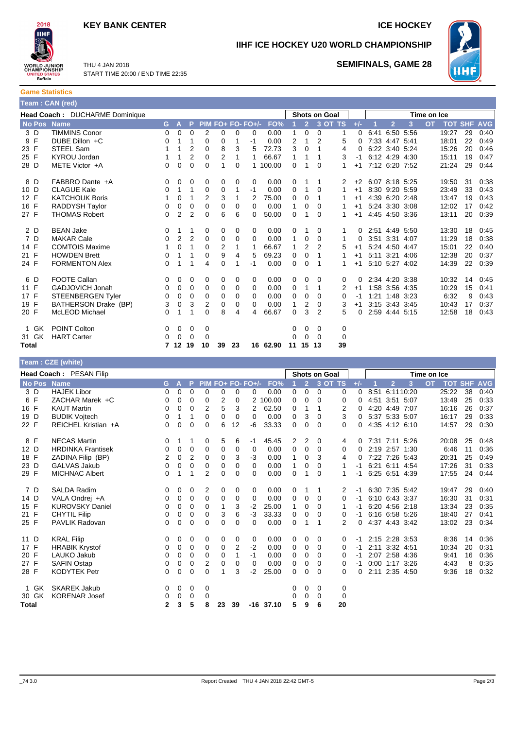## **KEY BANK CENTER ICE HOCKEY**



**IIHF ICE HOCKEY U20 WORLD CHAMPIONSHIP**



THU 4 JAN 2018 START TIME 20:00 / END TIME 22:35

## **SEMIFINALS, GAME 28**

| <b>Game Statistics</b> |  |
|------------------------|--|
| Team : CAN (red)       |  |

|             | Head Coach : DUCHARME Dominique |          |             |                |                |                | <b>Shots on Goal</b> |                      |          | Time on Ice  |                |                |         |          |      |                |                |           |            |            |            |
|-------------|---------------------------------|----------|-------------|----------------|----------------|----------------|----------------------|----------------------|----------|--------------|----------------|----------------|---------|----------|------|----------------|----------------|-----------|------------|------------|------------|
| No Pos Name |                                 | G.       | Α           | P              | <b>PIM</b>     |                |                      | <b>FO+ FO- FO+/-</b> | FO%      |              | $\overline{2}$ |                | 3 OT TS | $+/-$    |      | p              | 3              | <b>OT</b> | <b>TOT</b> | <b>SHF</b> | <b>AVG</b> |
| 3 D         | <b>TIMMINS Conor</b>            | 0        | $\mathbf 0$ | $\Omega$       | 2              | 0              | 0                    | 0                    | 0.00     | 1            | $\mathbf 0$    | 0              | 1       | $\Omega$ | 6:41 |                | 6:50 5:56      |           | 19:27      | 29         | 0:40       |
| F<br>9      | DUBE Dillon +C                  | 0        |             | 1              | 0              | 0              |                      | -1                   | 0.00     | 2            | 1              | $\overline{2}$ | 5       | 0        |      | 7:33 4:47 5:41 |                |           | 18:01      | 22         | 0:49       |
| 23 F        | STEEL Sam                       |          |             | 2              | 0              | 8              | 3                    | 5                    | 72.73    | 3            | 0              |                | 4       | 0        |      | 6:22 3:40 5:24 |                |           | 15:26      | 20         | 0:46       |
| 25 F        | KYROU Jordan                    |          | 1           | 2              | 0              | $\overline{2}$ |                      | 1                    | 66.67    | 1            | 1              |                | 3       | -1       |      | 6:12 4:29 4:30 |                |           | 15:11      | 19         | 0:47       |
| 28 D        | METE Victor +A                  | 0        | $\mathbf 0$ | $\mathbf 0$    | 0              | 1              | 0                    |                      | 1 100.00 | 0            | 1              | 0              | 1       | $+1$     |      |                | 7:12 6:20 7:52 |           | 21:24      | 29         | 0:44       |
| 8 D         | FABBRO Dante +A                 | 0        | 0           | 0              | 0              | 0              | 0                    | 0                    | 0.00     | 0            |                | 1              | 2       | $+2$     |      | 6:07 8:18 5:25 |                |           | 19:50      | 31         | 0:38       |
| 10 D        | <b>CLAGUE Kale</b>              | 0        | 1           | 1              | 0              | 0              |                      | $-1$                 | 0.00     | 0            | 1              | 0              | 1       | $+1$     |      | 8:30 9:20 5:59 |                |           | 23:49      | 33         | 0:43       |
| 12 F        | <b>KATCHOUK Boris</b>           |          | 0           | 1              | $\overline{2}$ | 3              |                      | 2                    | 75.00    | 0            | 0              | 1              |         | $+1$     |      | 4:39 6:20 2:48 |                |           | 13:47      | 19         | 0:43       |
| 16 F        | RADDYSH Taylor                  | 0        | 0           | 0              | 0              | 0              | 0                    | 0                    | 0.00     | 1            | 0              | 0              |         | $+1$     |      | 5:24 3:30 3:08 |                |           | 12:02      | 17         | 0:42       |
| 27 F        | <b>THOMAS Robert</b>            | 0        | 2           | $\overline{2}$ | 0              | 6              | 6                    | 0                    | 50.00    | 0            |                | $\Omega$       |         | $+1$     |      | 4:45 4:50 3:36 |                |           | 13:11      | 20         | 0:39       |
| 2 D         | <b>BEAN Jake</b>                | 0        |             | 1              | 0              | 0              | 0                    | 0                    | 0.00     | 0            |                | 0              | 1       | 0        |      |                | 2:51 4:49 5:50 |           | 13:30      | 18         | 0:45       |
| 7 D         | <b>MAKAR Cale</b>               | $\Omega$ | 2           | $\overline{2}$ | 0              | 0              | 0                    | 0                    | 0.00     |              | 0              | $\mathbf 0$    |         | 0        |      | 3:51 3:31 4:07 |                |           | 11:29      | 18         | 0:38       |
| 14 F        | <b>COMTOIS Maxime</b>           |          | 0           |                | 0              | 2              |                      |                      | 66.67    | 1            | 2              | $\overline{2}$ | 5       | $+1$     |      | 5:24 4:50 4:47 |                |           | 15:01      | 22         | 0:40       |
| 21 F        | <b>HOWDEN Brett</b>             | 0        |             | 1              | 0              | 9              | 4                    | 5                    | 69.23    | 0            | 0              |                |         | $+1$     |      | 5:11 3:21 4:06 |                |           | 12:38      | 20         | 0:37       |
| 24 F        | <b>FORMENTON Alex</b>           | 0        |             |                | 4              | 0              |                      | $-1$                 | 0.00     | 0            | 0              |                |         | $+1$     |      |                | 5:10 5:27 4:02 |           | 14:39      | 22         | 0:39       |
| 6 D         | <b>FOOTE Callan</b>             | 0        | 0           | 0              | 0              | 0              | 0                    | 0                    | 0.00     | 0            | 0              | 0              | 0       | $\Omega$ |      | 2:34 4:20 3:38 |                |           | 10:32      | 14         | 0:45       |
| 11 F        | <b>GADJOVICH Jonah</b>          | 0        | 0           | 0              | 0              | 0              | 0                    | 0                    | 0.00     | 0            | 1              |                | 2       | $+1$     |      | 1:58 3:56 4:35 |                |           | 10:29      | 15         | 0:41       |
| 17 F        | <b>STEENBERGEN Tyler</b>        | 0        | 0           | $\mathbf 0$    | 0              | 0              | 0                    | 0                    | 0.00     | 0            | 0              | $\Omega$       | 0       | -1       |      | 1:21 1:48 3:23 |                |           | 6:32       | 9          | 0:43       |
| 19 F        | BATHERSON Drake (BP)            | 3        | $\mathbf 0$ | 3              | $\overline{2}$ | 0              | 0                    | 0                    | 0.00     | $\mathbf{1}$ | 2              | $\Omega$       | 3       | $+1$     |      | 3:15 3:43 3:45 |                |           | 10:43      | 17         | 0:37       |
| 20 F        | <b>McLEOD Michael</b>           | $\Omega$ |             |                | $\Omega$       | 8              | 4                    | 4                    | 66.67    | 0            | 3              | $\overline{2}$ | 5       | 0        |      |                | 2:59 4:44 5:15 |           | 12:58      | 18         | 0.43       |
| 1 GK        | <b>POINT Colton</b>             | 0        | 0           | 0              | 0              |                |                      |                      |          | 0            | 0              | 0              | 0       |          |      |                |                |           |            |            |            |
| 31 GK       | <b>HART Carter</b>              | 0        | $\Omega$    | $\Omega$       | 0              |                |                      |                      |          | 0            | 0              | 0              | 0       |          |      |                |                |           |            |            |            |
| Total       |                                 |          | 12          | 19             | 10             | 39             | 23                   |                      | 16 62.90 | 11           | 15             | 13             | 39      |          |      |                |                |           |            |            |            |

|             | Team : CZE (white)       |              |             |                |                |    |    |                   |        |              |                |                      |          |       |      |                |      |             |            |            |            |
|-------------|--------------------------|--------------|-------------|----------------|----------------|----|----|-------------------|--------|--------------|----------------|----------------------|----------|-------|------|----------------|------|-------------|------------|------------|------------|
|             | Head Coach: PESAN Filip  |              |             |                |                |    |    |                   |        |              |                | <b>Shots on Goal</b> |          |       |      |                |      | Time on Ice |            |            |            |
| No Pos Name |                          | G.           | ÆV          | P              |                |    |    | PIM FO+ FO- FO+/- | FO%    |              | 2 <sup>1</sup> | 3 OT TS              |          | $+/-$ |      | $\overline{2}$ | 3    | <b>OT</b>   | <b>TOT</b> | <b>SHF</b> | <b>AVG</b> |
| 3 D         | <b>HAJEK Libor</b>       | 0            | $\mathbf 0$ | 0              | 0              | 0  | 0  | 0                 | 0.00   | 0            | 0              | 0                    | 0        | 0     | 8:51 | 6:1110:20      |      |             | 25:22      | 38         | 0:40       |
| F<br>6      | ZACHAR Marek +C          | 0            | 0           | 0              | 0              | 2  | 0  | 2                 | 100.00 | 0            | $\mathbf 0$    | $\Omega$             | 0        | 0     | 4:51 | 3:51 5:07      |      |             | 13:49      | 25         | 0:33       |
| 16 F        | <b>KAUT Martin</b>       | 0            | 0           | 0              | 2              | 5  | 3  | 2                 | 62.50  | 0            | 1              |                      | 2        | 0     |      | 4:20 4:49 7:07 |      |             | 16:16      | 26         | 0:37       |
| 19 D        | <b>BUDIK Voitech</b>     | 0            | 1           | 1              | 0              | 0  | 0  | 0                 | 0.00   | 0            | 3              | 0                    | 3        | 0     |      | 5:37 5:33 5:07 |      |             | 16:17      | 29         | 0:33       |
| 22 F        | REICHEL Kristian +A      | 0            | $\mathbf 0$ | $\Omega$       | $\Omega$       | 6  | 12 | $-6$              | 33.33  | 0            | $\mathbf 0$    | $\Omega$             | 0        | 0     |      | 4:35 4:12 6:10 |      |             | 14:57      | 29         | 0:30       |
| 8 F         | <b>NECAS Martin</b>      | 0            |             | 1              | 0              | 5  | 6  | -1                | 45.45  | 2            | 2              | 0                    | 4        | 0     |      | 7:31 7:11 5:26 |      |             | 20:08      | 25         | 0:48       |
| 12 D        | <b>HRDINKA Frantisek</b> | 0            | 0           | 0              | $\mathbf 0$    | 0  | 0  | 0                 | 0.00   | 0            | 0              | $\mathbf 0$          | 0        | 0     |      | 2:19 2:57      | 1:30 |             | 6:46       | 11         | 0:36       |
| 18 F        | ZADINA Filip (BP)        | 2            | 0           | $\overline{2}$ | 0              | 0  | 3  | $-3$              | 0.00   | $\mathbf{1}$ | 0              | 3                    | 4        | 0     |      | 7:22 7:26 5:43 |      |             | 20:31      | 25         | 0:49       |
| 23 D        | <b>GALVAS Jakub</b>      | 0            | 0           | 0              | 0              | 0  | 0  | 0                 | 0.00   | 1            | 0              | 0                    | 1        | -1    |      | 6:21 6:11 4:54 |      |             | 17:26      | 31         | 0:33       |
| 29 F        | <b>MICHNAC Albert</b>    | 0            | 1           | 1              | $\overline{2}$ | 0  | 0  | 0                 | 0.00   | $\Omega$     | 1              | $\Omega$             | 1        | -1    |      | 6:25 6:51 4:39 |      |             | 17:55      | 24         | 0:44       |
| 7 D         | <b>SALDA Radim</b>       | 0            | 0           | 0              | 2              | 0  | 0  | 0                 | 0.00   | 0            | 1              | 1                    | 2        | -1    |      | 6:30 7:35 5:42 |      |             | 19:47      | 29         | 0:40       |
| 14 D        | VALA Ondrej +A           | 0            | 0           | 0              | 0              | 0  | 0  | 0                 | 0.00   | 0            | 0              | 0                    | 0        | -1    |      | 6:10 6:43 3:37 |      |             | 16:30      | 31         | 0:31       |
| 15 F        | <b>KUROVSKY Daniel</b>   | 0            | 0           | 0              | 0              | 1  | 3  | $-2$              | 25.00  | 1            | 0              | $\Omega$             | 1        | -1    |      | 6:20 4:56 2:18 |      |             | 13:34      | 23         | 0:35       |
| 21 F        | <b>CHYTIL Filip</b>      | 0            | 0           | 0              | 0              | 3  | 6  | $-3$              | 33.33  | 0            | 0              | $\Omega$             | 0        | $-1$  |      | 6:16 6:58 5:26 |      |             | 18:40      | 27         | 0:41       |
| 25 F        | <b>PAVLIK Radovan</b>    | 0            | 0           | 0              | 0              | 0  | 0  | $\Omega$          | 0.00   | 0            | 1              | 1                    | 2        | 0     |      | 4:37 4:43 3:42 |      |             | 13:02      | 23         | 0:34       |
| 11 D        | <b>KRAL Filip</b>        | 0            | 0           | 0              | 0              | 0  | 0  | 0                 | 0.00   | 0            | 0              | 0                    | 0        | -1    |      | 2:15 2:28 3:53 |      |             | 8:36       | 14         | 0:36       |
| 17 F        | <b>HRABIK Krystof</b>    | 0            | 0           | 0              | 0              | 0  | 2  | $-2$              | 0.00   | 0            | 0              | $\Omega$             | $\Omega$ | -1    |      | 2:11 3:32 4:51 |      |             | 10:34      | 20         | 0:31       |
| 20 F        | LAUKO Jakub              | 0            | 0           | 0              | 0              | 0  | 1  | $-1$              | 0.00   | 0            | 0              | 0                    | 0        | -1    |      | 2:07 2:58 4:36 |      |             | 9:41       | 16         | 0:36       |
| 27 F        | <b>SAFIN Ostap</b>       | 0            | 0           | 0              | $\overline{2}$ | 0  | 0  | 0                 | 0.00   | 0            | 0              | 0                    | 0        | -1    |      | $0:00$ 1:17    | 3:26 |             | 4:43       | 8          | 0:35       |
| 28 F        | <b>KODYTEK Petr</b>      | 0            | 0           | 0              | $\mathbf{0}$   | 1  | 3  | $-2$              | 25.00  | 0            | 0              | $\Omega$             | 0        | 0     |      | 2:11 2:35 4:50 |      |             | 9:36       | 18         | 0:32       |
| GK          | <b>SKAREK Jakub</b>      | 0            | 0           | 0              | 0              |    |    |                   |        | 0            | 0              | 0                    | 0        |       |      |                |      |             |            |            |            |
| 30 GK       | <b>KORENAR Josef</b>     | 0            | 0           | 0              | 0              |    |    |                   |        | 0            | 0              | 0                    | 0        |       |      |                |      |             |            |            |            |
| Total       |                          | $\mathbf{2}$ | 3           | 5              | 8              | 23 | 39 | -16               | 37.10  | 5            | 9              | 6                    | 20       |       |      |                |      |             |            |            |            |